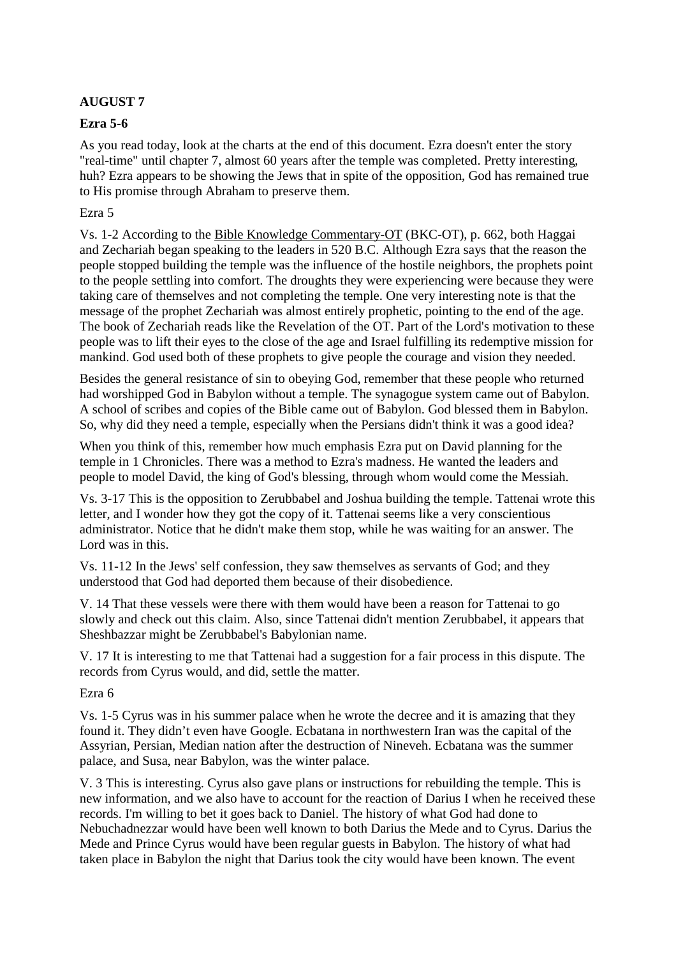# **AUGUST 7**

## **Ezra 5-6**

As you read today, look at the charts at the end of this document. Ezra doesn't enter the story "real-time" until chapter 7, almost 60 years after the temple was completed. Pretty interesting, huh? Ezra appears to be showing the Jews that in spite of the opposition, God has remained true to His promise through Abraham to preserve them.

### Ezra 5

Vs. 1-2 According to the Bible Knowledge Commentary-OT (BKC-OT), p. 662, both Haggai and Zechariah began speaking to the leaders in 520 B.C. Although Ezra says that the reason the people stopped building the temple was the influence of the hostile neighbors, the prophets point to the people settling into comfort. The droughts they were experiencing were because they were taking care of themselves and not completing the temple. One very interesting note is that the message of the prophet Zechariah was almost entirely prophetic, pointing to the end of the age. The book of Zechariah reads like the Revelation of the OT. Part of the Lord's motivation to these people was to lift their eyes to the close of the age and Israel fulfilling its redemptive mission for mankind. God used both of these prophets to give people the courage and vision they needed.

Besides the general resistance of sin to obeying God, remember that these people who returned had worshipped God in Babylon without a temple. The synagogue system came out of Babylon. A school of scribes and copies of the Bible came out of Babylon. God blessed them in Babylon. So, why did they need a temple, especially when the Persians didn't think it was a good idea?

When you think of this, remember how much emphasis Ezra put on David planning for the temple in 1 Chronicles. There was a method to Ezra's madness. He wanted the leaders and people to model David, the king of God's blessing, through whom would come the Messiah.

Vs. 3-17 This is the opposition to Zerubbabel and Joshua building the temple. Tattenai wrote this letter, and I wonder how they got the copy of it. Tattenai seems like a very conscientious administrator. Notice that he didn't make them stop, while he was waiting for an answer. The Lord was in this.

Vs. 11-12 In the Jews' self confession, they saw themselves as servants of God; and they understood that God had deported them because of their disobedience.

V. 14 That these vessels were there with them would have been a reason for Tattenai to go slowly and check out this claim. Also, since Tattenai didn't mention Zerubbabel, it appears that Sheshbazzar might be Zerubbabel's Babylonian name.

V. 17 It is interesting to me that Tattenai had a suggestion for a fair process in this dispute. The records from Cyrus would, and did, settle the matter.

Ezra 6

Vs. 1-5 Cyrus was in his summer palace when he wrote the decree and it is amazing that they found it. They didn't even have Google. Ecbatana in northwestern Iran was the capital of the Assyrian, Persian, Median nation after the destruction of Nineveh. Ecbatana was the summer palace, and Susa, near Babylon, was the winter palace.

V. 3 This is interesting. Cyrus also gave plans or instructions for rebuilding the temple. This is new information, and we also have to account for the reaction of Darius I when he received these records. I'm willing to bet it goes back to Daniel. The history of what God had done to Nebuchadnezzar would have been well known to both Darius the Mede and to Cyrus. Darius the Mede and Prince Cyrus would have been regular guests in Babylon. The history of what had taken place in Babylon the night that Darius took the city would have been known. The event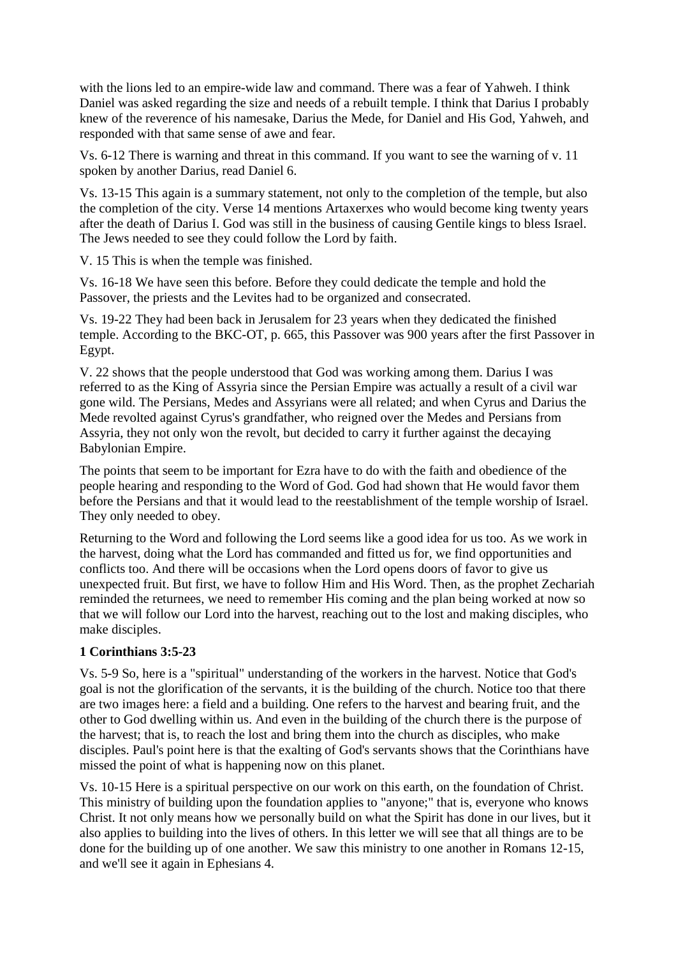with the lions led to an empire-wide law and command. There was a fear of Yahweh. I think Daniel was asked regarding the size and needs of a rebuilt temple. I think that Darius I probably knew of the reverence of his namesake, Darius the Mede, for Daniel and His God, Yahweh, and responded with that same sense of awe and fear.

Vs. 6-12 There is warning and threat in this command. If you want to see the warning of v. 11 spoken by another Darius, read Daniel 6.

Vs. 13-15 This again is a summary statement, not only to the completion of the temple, but also the completion of the city. Verse 14 mentions Artaxerxes who would become king twenty years after the death of Darius I. God was still in the business of causing Gentile kings to bless Israel. The Jews needed to see they could follow the Lord by faith.

V. 15 This is when the temple was finished.

Vs. 16-18 We have seen this before. Before they could dedicate the temple and hold the Passover, the priests and the Levites had to be organized and consecrated.

Vs. 19-22 They had been back in Jerusalem for 23 years when they dedicated the finished temple. According to the BKC-OT, p. 665, this Passover was 900 years after the first Passover in Egypt.

V. 22 shows that the people understood that God was working among them. Darius I was referred to as the King of Assyria since the Persian Empire was actually a result of a civil war gone wild. The Persians, Medes and Assyrians were all related; and when Cyrus and Darius the Mede revolted against Cyrus's grandfather, who reigned over the Medes and Persians from Assyria, they not only won the revolt, but decided to carry it further against the decaying Babylonian Empire.

The points that seem to be important for Ezra have to do with the faith and obedience of the people hearing and responding to the Word of God. God had shown that He would favor them before the Persians and that it would lead to the reestablishment of the temple worship of Israel. They only needed to obey.

Returning to the Word and following the Lord seems like a good idea for us too. As we work in the harvest, doing what the Lord has commanded and fitted us for, we find opportunities and conflicts too. And there will be occasions when the Lord opens doors of favor to give us unexpected fruit. But first, we have to follow Him and His Word. Then, as the prophet Zechariah reminded the returnees, we need to remember His coming and the plan being worked at now so that we will follow our Lord into the harvest, reaching out to the lost and making disciples, who make disciples.

# **1 Corinthians 3:5-23**

Vs. 5-9 So, here is a "spiritual" understanding of the workers in the harvest. Notice that God's goal is not the glorification of the servants, it is the building of the church. Notice too that there are two images here: a field and a building. One refers to the harvest and bearing fruit, and the other to God dwelling within us. And even in the building of the church there is the purpose of the harvest; that is, to reach the lost and bring them into the church as disciples, who make disciples. Paul's point here is that the exalting of God's servants shows that the Corinthians have missed the point of what is happening now on this planet.

Vs. 10-15 Here is a spiritual perspective on our work on this earth, on the foundation of Christ. This ministry of building upon the foundation applies to "anyone;" that is, everyone who knows Christ. It not only means how we personally build on what the Spirit has done in our lives, but it also applies to building into the lives of others. In this letter we will see that all things are to be done for the building up of one another. We saw this ministry to one another in Romans 12-15, and we'll see it again in Ephesians 4.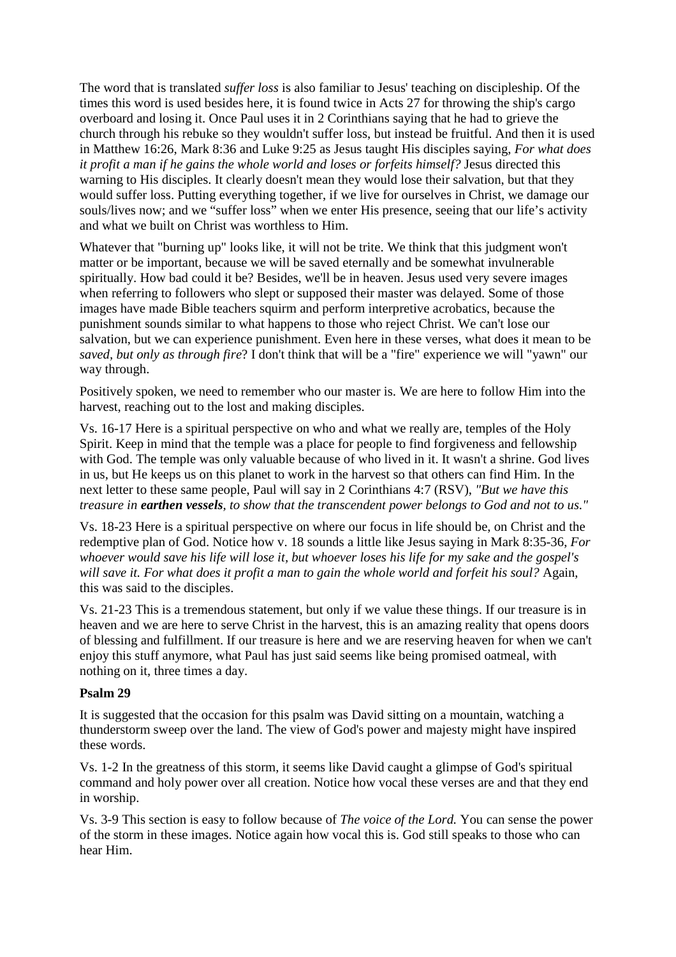The word that is translated *suffer loss* is also familiar to Jesus' teaching on discipleship. Of the times this word is used besides here, it is found twice in Acts 27 for throwing the ship's cargo overboard and losing it. Once Paul uses it in 2 Corinthians saying that he had to grieve the church through his rebuke so they wouldn't suffer loss, but instead be fruitful. And then it is used in Matthew 16:26, Mark 8:36 and Luke 9:25 as Jesus taught His disciples saying, *For what does it profit a man if he gains the whole world and loses or forfeits himself?* Jesus directed this warning to His disciples. It clearly doesn't mean they would lose their salvation, but that they would suffer loss. Putting everything together, if we live for ourselves in Christ, we damage our souls/lives now; and we "suffer loss" when we enter His presence, seeing that our life's activity and what we built on Christ was worthless to Him.

Whatever that "burning up" looks like, it will not be trite. We think that this judgment won't matter or be important, because we will be saved eternally and be somewhat invulnerable spiritually. How bad could it be? Besides, we'll be in heaven. Jesus used very severe images when referring to followers who slept or supposed their master was delayed. Some of those images have made Bible teachers squirm and perform interpretive acrobatics, because the punishment sounds similar to what happens to those who reject Christ. We can't lose our salvation, but we can experience punishment. Even here in these verses, what does it mean to be *saved, but only as through fire*? I don't think that will be a "fire" experience we will "yawn" our way through.

Positively spoken, we need to remember who our master is. We are here to follow Him into the harvest, reaching out to the lost and making disciples.

Vs. 16-17 Here is a spiritual perspective on who and what we really are, temples of the Holy Spirit. Keep in mind that the temple was a place for people to find forgiveness and fellowship with God. The temple was only valuable because of who lived in it. It wasn't a shrine. God lives in us, but He keeps us on this planet to work in the harvest so that others can find Him. In the next letter to these same people, Paul will say in 2 Corinthians 4:7 (RSV), *"But we have this treasure in earthen vessels, to show that the transcendent power belongs to God and not to us."* 

Vs. 18-23 Here is a spiritual perspective on where our focus in life should be, on Christ and the redemptive plan of God. Notice how v. 18 sounds a little like Jesus saying in Mark 8:35-36, *For whoever would save his life will lose it, but whoever loses his life for my sake and the gospel's will save it. For what does it profit a man to gain the whole world and forfeit his soul?* Again, this was said to the disciples.

Vs. 21-23 This is a tremendous statement, but only if we value these things. If our treasure is in heaven and we are here to serve Christ in the harvest, this is an amazing reality that opens doors of blessing and fulfillment. If our treasure is here and we are reserving heaven for when we can't enjoy this stuff anymore, what Paul has just said seems like being promised oatmeal, with nothing on it, three times a day.

#### **Psalm 29**

It is suggested that the occasion for this psalm was David sitting on a mountain, watching a thunderstorm sweep over the land. The view of God's power and majesty might have inspired these words.

Vs. 1-2 In the greatness of this storm, it seems like David caught a glimpse of God's spiritual command and holy power over all creation. Notice how vocal these verses are and that they end in worship.

Vs. 3-9 This section is easy to follow because of *The voice of the Lord.* You can sense the power of the storm in these images. Notice again how vocal this is. God still speaks to those who can hear Him.